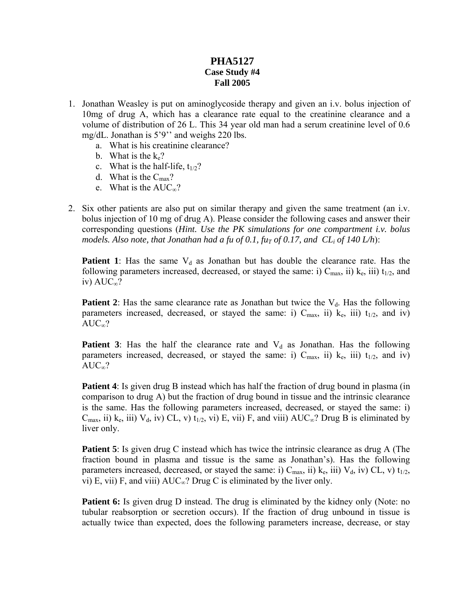## **PHA5127 Case Study #4 Fall 2005**

- 1. Jonathan Weasley is put on aminoglycoside therapy and given an i.v. bolus injection of 10mg of drug A, which has a clearance rate equal to the creatinine clearance and a volume of distribution of 26 L. This 34 year old man had a serum creatinine level of 0.6 mg/dL. Jonathan is 5'9'' and weighs 220 lbs.
	- a. What is his creatinine clearance?
	- b. What is the  $k_e$ ?
	- c. What is the half-life,  $t_{1/2}$ ?
	- d. What is the  $C_{\text{max}}$ ?
	- e. What is the  $AUC_{\infty}$ ?
- 2. Six other patients are also put on similar therapy and given the same treatment (an i.v. bolus injection of 10 mg of drug A). Please consider the following cases and answer their corresponding questions (*Hint. Use the PK simulations for one compartment i.v. bolus models. Also note, that Jonathan had a fu of 0.1, fu<sub>T</sub> of 0.17, and*  $CL_i$  *of 140 L/h)*:

**Patient 1**: Has the same  $V_d$  as Jonathan but has double the clearance rate. Has the following parameters increased, decreased, or stayed the same: i)  $C_{\text{max}}$ , ii)  $k_e$ , iii)  $t_{1/2}$ , and iv)  $AUC_{\infty}$ ?

**Patient 2**: Has the same clearance rate as Jonathan but twice the  $V_d$ . Has the following parameters increased, decreased, or stayed the same: i)  $C_{\text{max}}$ , ii)  $k_e$ , iii)  $t_{1/2}$ , and iv)  $AUC_{\infty}$ ?

**Patient 3**: Has the half the clearance rate and  $V_d$  as Jonathan. Has the following parameters increased, decreased, or stayed the same: i)  $C_{\text{max}}$ , ii)  $k_e$ , iii)  $t_{1/2}$ , and iv)  $AUC_{\infty}$ ?

**Patient 4**: Is given drug B instead which has half the fraction of drug bound in plasma (in comparison to drug A) but the fraction of drug bound in tissue and the intrinsic clearance is the same. Has the following parameters increased, decreased, or stayed the same: i)  $C_{\text{max}}$ , ii)  $k_e$ , iii)  $V_d$ , iv)  $CL$ , v)  $t_{1/2}$ , vi)  $E$ , vii)  $F$ , and viii)  $AUC_\infty$ ? Drug B is eliminated by liver only.

**Patient 5**: Is given drug C instead which has twice the intrinsic clearance as drug A (The fraction bound in plasma and tissue is the same as Jonathan's). Has the following parameters increased, decreased, or stayed the same: i)  $C_{\text{max}}$ , ii)  $k_e$ , iii)  $V_d$ , iv)  $CL$ , v)  $t_{1/2}$ , vi) E, vii) F, and viii)  $AUC_{\infty}$ ? Drug C is eliminated by the liver only.

**Patient 6:** Is given drug D instead. The drug is eliminated by the kidney only (Note: no tubular reabsorption or secretion occurs). If the fraction of drug unbound in tissue is actually twice than expected, does the following parameters increase, decrease, or stay